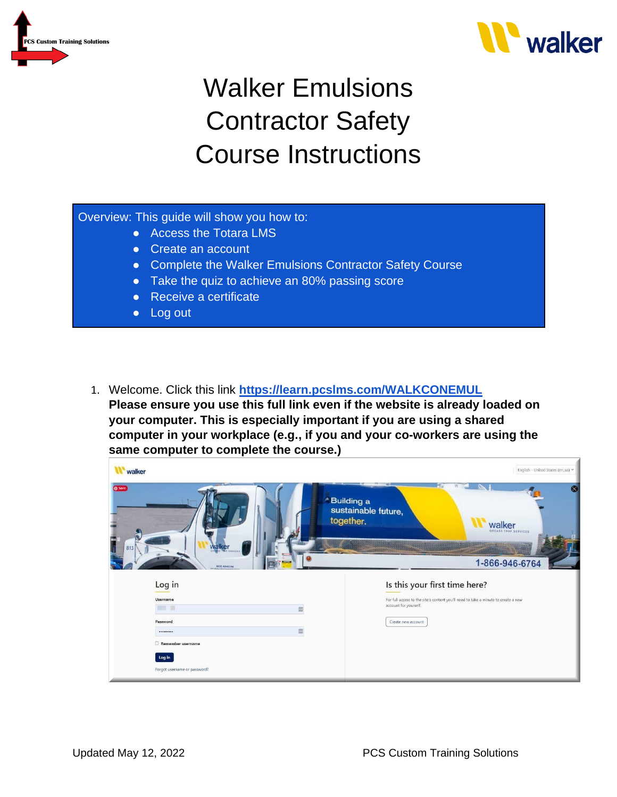



## Walker Emulsions Contractor Safety Course Instructions

## Overview: This guide will show you how to:

- Access the Totara LMS
- Create an account
- Complete the Walker Emulsions Contractor Safety Course
- Take the quiz to achieve an 80% passing score
- Receive a certificate
- Log out
- 1. Welcome. Click this link **<https://learn.pcslms.com/WALKCONEMUL> Please ensure you use this full link even if the website is already loaded on your computer. This is especially important if you are using a shared computer in your workplace (e.g., if you and your co-workers are using the same computer to complete the course.)**

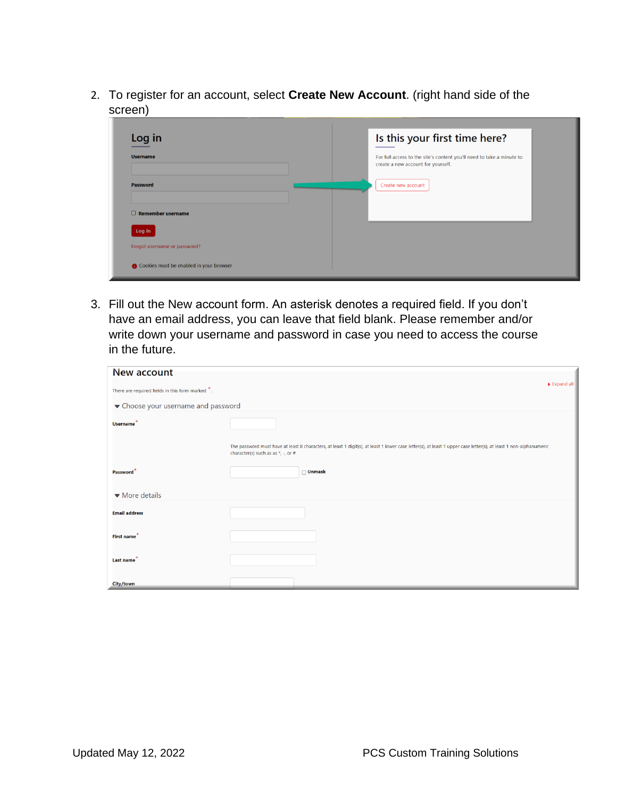2. To register for an account, select **Create New Account**. (right hand side of the screen)

| Log in                                  | Is this your first time here?                                                                               |
|-----------------------------------------|-------------------------------------------------------------------------------------------------------------|
| <b>Username</b>                         | For full access to the site's content you'll need to take a minute to<br>create a new account for yourself. |
| <b>Password</b>                         | Create new account                                                                                          |
| $\Box$ Remember username                |                                                                                                             |
| Log in                                  |                                                                                                             |
| Forgot username or password?            |                                                                                                             |
| Cookies must be enabled in your browser |                                                                                                             |

3. Fill out the New account form. An asterisk denotes a required field. If you don't have an email address, you can leave that field blank. Please remember and/or write down your username and password in case you need to access the course in the future.

| New account                                      |                                                                                                                                                                                                           |
|--------------------------------------------------|-----------------------------------------------------------------------------------------------------------------------------------------------------------------------------------------------------------|
| There are required fields in this form marked *. | Expand all                                                                                                                                                                                                |
| ▼ Choose your username and password              |                                                                                                                                                                                                           |
| Username <sup>*</sup>                            |                                                                                                                                                                                                           |
|                                                  | The password must have at least 8 characters, at least 1 digit(s), at least 1 lower case letter(s), at least 1 upper case letter(s), at least 1 non-alphanumeric<br>character(s) such as as $*$ , -, or # |
| Password                                         | $\Box$ Unmask                                                                                                                                                                                             |
| $\blacktriangleright$ More details               |                                                                                                                                                                                                           |
| <b>Email address</b>                             |                                                                                                                                                                                                           |
| First name <sup>*</sup>                          |                                                                                                                                                                                                           |
| Last name                                        |                                                                                                                                                                                                           |
| <b>City/town</b>                                 |                                                                                                                                                                                                           |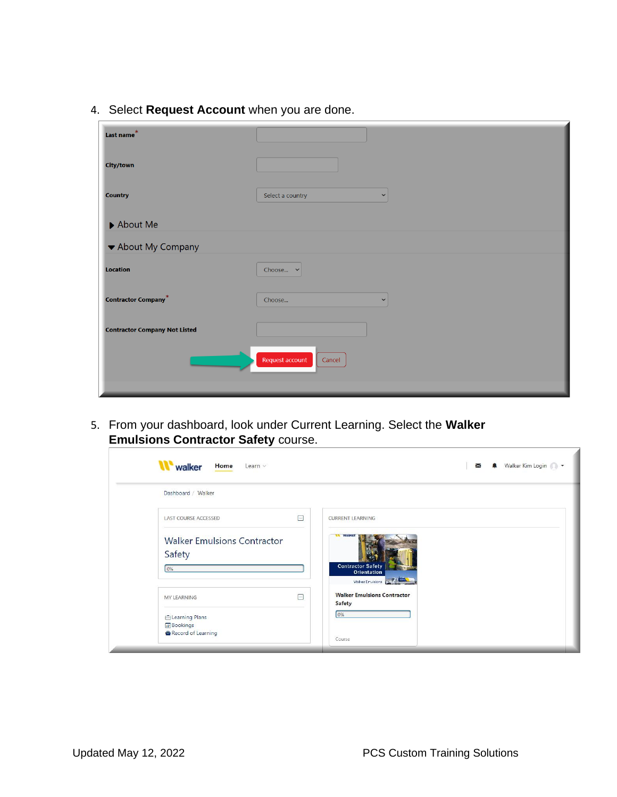4. Select **Request Account** when you are done.

| Last name*                           |                                  |
|--------------------------------------|----------------------------------|
| <b>City/town</b>                     |                                  |
| <b>Country</b>                       | Select a country<br>$\checkmark$ |
| $\blacktriangleright$ About Me       |                                  |
| ▼ About My Company                   |                                  |
| <b>Location</b>                      | Choose $\sim$                    |
| <b>Contractor Company*</b>           | Choose<br>$\checkmark$           |
| <b>Contractor Company Not Listed</b> |                                  |
|                                      | Request account<br>Cancel        |

5. From your dashboard, look under Current Learning. Select the **Walker Emulsions Contractor Safety** course.

| Dashboard / Walker                           |        |                                                     |
|----------------------------------------------|--------|-----------------------------------------------------|
| LAST COURSE ACCESSED                         | $\Box$ | <b>CURRENT LEARNING</b>                             |
| <b>Walker Emulsions Contractor</b><br>Safety |        | walker<br><b>Contractor Safety</b>                  |
| 0%                                           |        | Orientation<br>Walker Emulsions                     |
| MY LEARNING                                  | $\Box$ | <b>Walker Emulsions Contractor</b><br><b>Safety</b> |
| <b>ELearning Plans</b>                       |        | 0%                                                  |
| <b>Bookings</b><br>Record of Learning        |        |                                                     |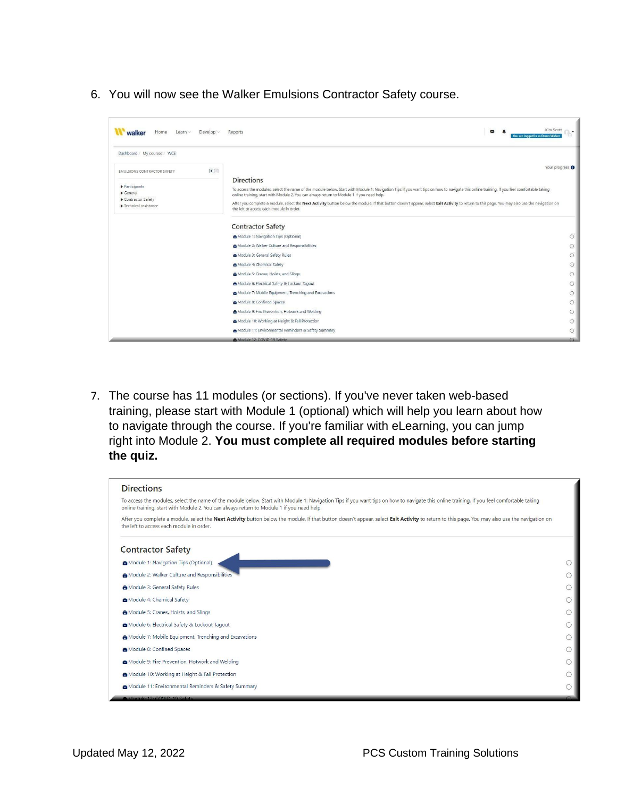6. You will now see the Walker Emulsions Contractor Safety course.

| Home<br>Develop v<br>Learn $\sim$<br>walker                                                                                       | Kim Scott<br>図<br>Reports<br>You are logged in as Demo Walker                                                                                                                                                                                                                                                                                                                                                                                                                                                                                            |         |
|-----------------------------------------------------------------------------------------------------------------------------------|----------------------------------------------------------------------------------------------------------------------------------------------------------------------------------------------------------------------------------------------------------------------------------------------------------------------------------------------------------------------------------------------------------------------------------------------------------------------------------------------------------------------------------------------------------|---------|
| Dashboard / My courses / WCS                                                                                                      |                                                                                                                                                                                                                                                                                                                                                                                                                                                                                                                                                          |         |
| OE<br><b>EMULSIONS CONTRACTOR SAFETY</b>                                                                                          | Your progress O                                                                                                                                                                                                                                                                                                                                                                                                                                                                                                                                          |         |
| $\blacktriangleright$ Participants<br>$\triangleright$ General<br>Contractor Safety<br>$\blacktriangleright$ Technical assistance | <b>Directions</b><br>To access the modules, select the name of the module below. Start with Module 1: Navigation Tips if you want tips on how to navigate this online training. If you feel comfortable taking<br>online training, start with Module 2. You can always return to Module 1 if you need help.<br>After you complete a module, select the Next Activity button below the module. If that button doesn't appear, select Exit Activity to return to this page. You may also use the navigation on<br>the left to access each module in order. |         |
|                                                                                                                                   | <b>Contractor Safety</b>                                                                                                                                                                                                                                                                                                                                                                                                                                                                                                                                 |         |
|                                                                                                                                   | Module 1: Navigation Tips (Optional)                                                                                                                                                                                                                                                                                                                                                                                                                                                                                                                     | $\circ$ |
|                                                                                                                                   | Module 2: Walker Culture and Responsibilities                                                                                                                                                                                                                                                                                                                                                                                                                                                                                                            | $\circ$ |
|                                                                                                                                   | Module 3: General Safety Rules                                                                                                                                                                                                                                                                                                                                                                                                                                                                                                                           | $\circ$ |
|                                                                                                                                   | Module 4: Chemical Safety                                                                                                                                                                                                                                                                                                                                                                                                                                                                                                                                | $\circ$ |
|                                                                                                                                   | Module 5: Cranes, Hoists, and Slings                                                                                                                                                                                                                                                                                                                                                                                                                                                                                                                     | $\circ$ |
|                                                                                                                                   | Module 6: Electrical Safety & Lockout Tagout                                                                                                                                                                                                                                                                                                                                                                                                                                                                                                             | $\circ$ |
|                                                                                                                                   | Module 7: Mobile Equipment, Trenching and Excavations                                                                                                                                                                                                                                                                                                                                                                                                                                                                                                    | $\circ$ |
|                                                                                                                                   | Module 8: Confined Spaces                                                                                                                                                                                                                                                                                                                                                                                                                                                                                                                                | $\circ$ |
|                                                                                                                                   | Module 9: Fire Prevention, Hotwork and Welding                                                                                                                                                                                                                                                                                                                                                                                                                                                                                                           | $\circ$ |
|                                                                                                                                   | Module 10: Working at Height & Fall Protection                                                                                                                                                                                                                                                                                                                                                                                                                                                                                                           | $\circ$ |
|                                                                                                                                   | Module 11: Environmental Reminders & Safety Summary                                                                                                                                                                                                                                                                                                                                                                                                                                                                                                      | $\circ$ |
|                                                                                                                                   | Module 12: COVID-19 Safety                                                                                                                                                                                                                                                                                                                                                                                                                                                                                                                               |         |

7. The course has 11 modules (or sections). If you've never taken web-based training, please start with Module 1 (optional) which will help you learn about how to navigate through the course. If you're familiar with eLearning, you can jump right into Module 2. **You must complete all required modules before starting the quiz.**

| <b>Directions</b>                                                                                                                                                                                                                                                                      |  |
|----------------------------------------------------------------------------------------------------------------------------------------------------------------------------------------------------------------------------------------------------------------------------------------|--|
| To access the modules, select the name of the module below. Start with Module 1: Navigation Tips if you want tips on how to navigate this online training. If you feel comfortable taking<br>online training, start with Module 2. You can always return to Module 1 if you need help. |  |
| After you complete a module, select the Next Activity button below the module. If that button doesn't appear, select Exit Activity to return to this page. You may also use the navigation on<br>the left to access each module in order.                                              |  |
| <b>Contractor Safety</b>                                                                                                                                                                                                                                                               |  |
| Module 1: Navigation Tips (Optional)                                                                                                                                                                                                                                                   |  |
| Module 2: Walker Culture and Responsibilities                                                                                                                                                                                                                                          |  |
| Module 3: General Safety Rules                                                                                                                                                                                                                                                         |  |
| Module 4: Chemical Safety                                                                                                                                                                                                                                                              |  |
| Module 5: Cranes, Hoists, and Slings                                                                                                                                                                                                                                                   |  |
| Module 6: Electrical Safety & Lockout Tagout                                                                                                                                                                                                                                           |  |
| Module 7: Mobile Equipment, Trenching and Excavations                                                                                                                                                                                                                                  |  |
| Module 8: Confined Spaces                                                                                                                                                                                                                                                              |  |
| Module 9: Fire Prevention, Hotwork and Welding                                                                                                                                                                                                                                         |  |
| Module 10: Working at Height & Fall Protection                                                                                                                                                                                                                                         |  |
| Module 11: Environmental Reminders & Safety Summary<br>Module 12-COVID-19 Safety                                                                                                                                                                                                       |  |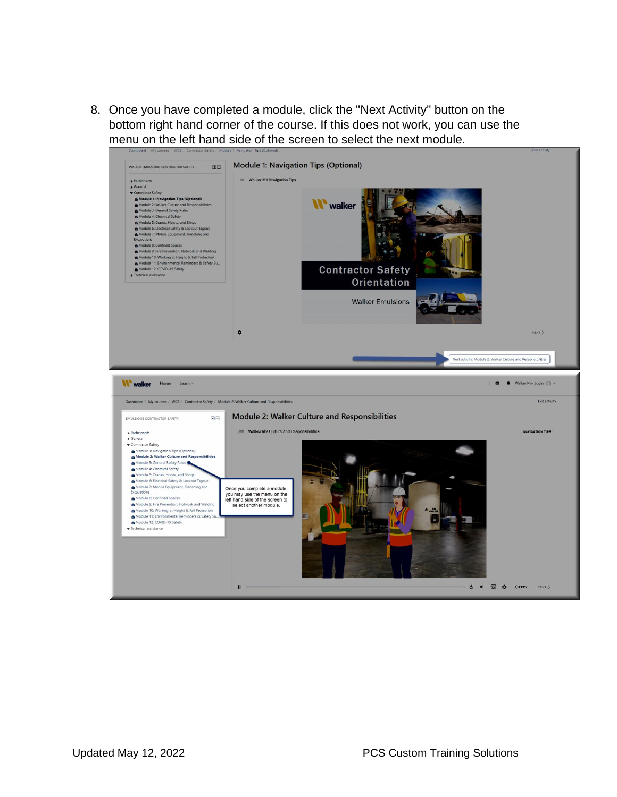8. Once you have completed a module, click the "Next Activity" button on the bottom right hand corner of the course. If this does not work, you can use the menu on the left hand side of the screen to select the next module.

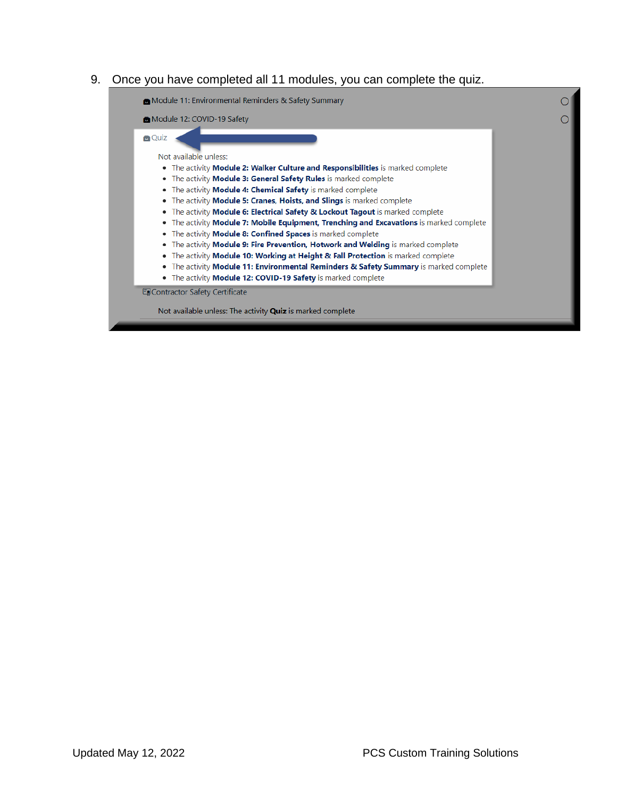## 9. Once you have completed all 11 modules, you can complete the quiz.

| <b>a</b> Quiz                          |                                                                                                |  |
|----------------------------------------|------------------------------------------------------------------------------------------------|--|
|                                        |                                                                                                |  |
| Not available unless:                  |                                                                                                |  |
|                                        | • The activity Module 2: Walker Culture and Responsibilities is marked complete                |  |
|                                        | • The activity Module 3: General Safety Rules is marked complete                               |  |
|                                        | • The activity Module 4: Chemical Safety is marked complete                                    |  |
|                                        | • The activity Module 5: Cranes, Hoists, and Slings is marked complete                         |  |
|                                        | • The activity Module 6: Electrical Safety & Lockout Tagout is marked complete                 |  |
|                                        | • The activity <b>Module 7: Mobile Equipment, Trenching and Excavations</b> is marked complete |  |
|                                        | • The activity Module 8: Confined Spaces is marked complete                                    |  |
|                                        | • The activity Module 9: Fire Prevention, Hotwork and Welding is marked complete               |  |
|                                        | • The activity Module 10: Working at Height & Fall Protection is marked complete               |  |
|                                        | • The activity Module 11: Environmental Reminders & Safety Summary is marked complete          |  |
|                                        | • The activity Module 12: COVID-19 Safety is marked complete                                   |  |
| <b>E</b> Contractor Safety Certificate |                                                                                                |  |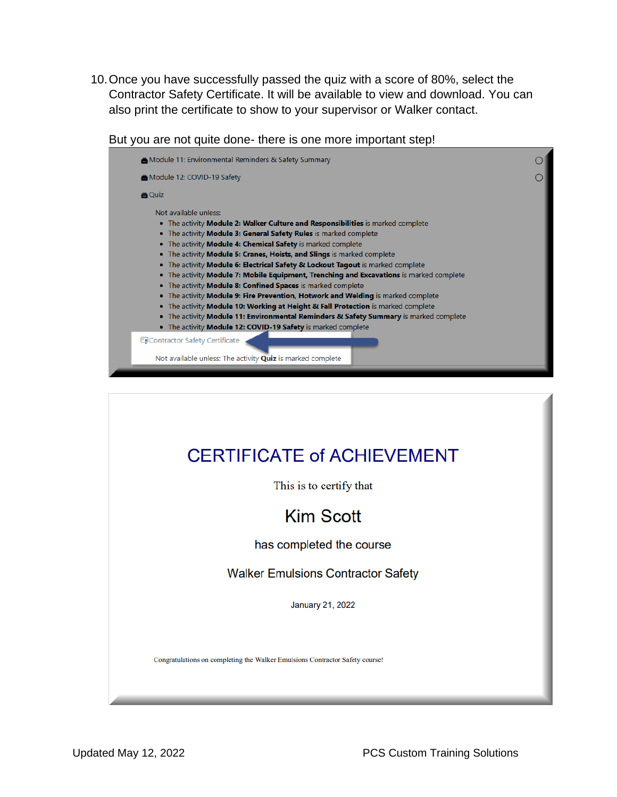10.Once you have successfully passed the quiz with a score of 80%, select the Contractor Safety Certificate. It will be available to view and download. You can also print the certificate to show to your supervisor or Walker contact.

But you are not quite done- there is one more important step!



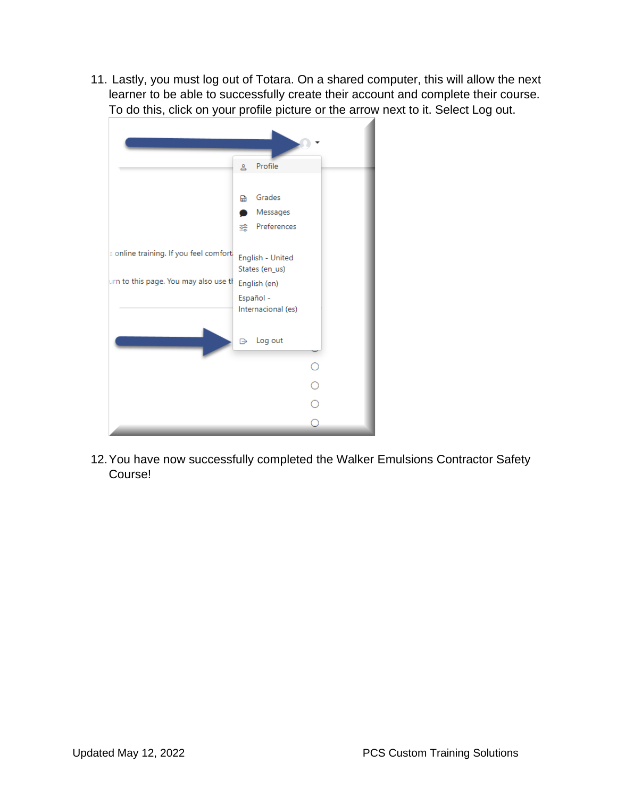11. Lastly, you must log out of Totara. On a shared computer, this will allow the next learner to be able to successfully create their account and complete their course. To do this, click on your profile picture or the arrow next to it. Select Log out.

|                                        | Profile<br>కి                                                     |
|----------------------------------------|-------------------------------------------------------------------|
|                                        | Grades<br>盀<br>Messages<br>Preferences<br>鲿                       |
| s online training. If you feel comfort | English - United                                                  |
| urn to this page. You may also use th  | States (en_us)<br>English (en)<br>Español -<br>Internacional (es) |
|                                        | Log out<br>₿                                                      |
|                                        | $\circ$                                                           |
|                                        | $\frac{1}{2}$                                                     |
|                                        |                                                                   |
|                                        | ⊂                                                                 |

12.You have now successfully completed the Walker Emulsions Contractor Safety Course!